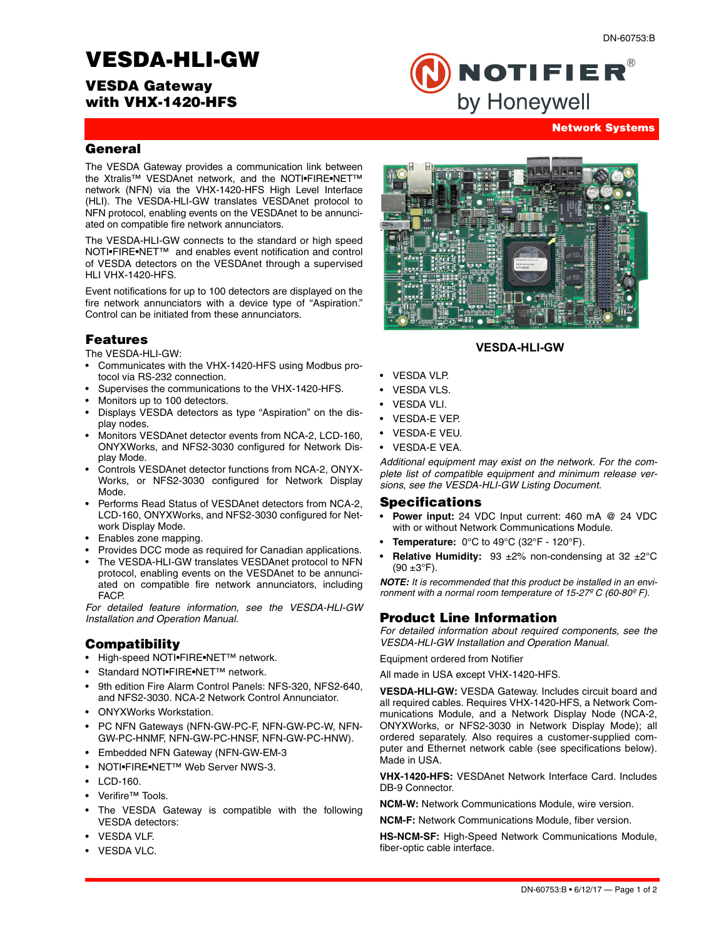# **VESDA-HLI-GW**

# **VESDA Gateway with VHX-1420-HFS**



#### **Network Systems**

#### **General**

The VESDA Gateway provides a communication link between the Xtralis™ VESDAnet network, and the NOTI•FIRE•NET™ network (NFN) via the VHX-1420-HFS High Level Interface (HLI). The VESDA-HLI-GW translates VESDAnet protocol to NFN protocol, enabling events on the VESDAnet to be annunciated on compatible fire network annunciators.

The VESDA-HLI-GW connects to the standard or high speed NOTI•FIRE•NET™ and enables event notification and control of VESDA detectors on the VESDAnet through a supervised HLI VHX-1420-HFS.

Event notifications for up to 100 detectors are displayed on the fire network annunciators with a device type of "Aspiration." Control can be initiated from these annunciators.

### **Features**

The VESDA-HLI-GW:

- Communicates with the VHX-1420-HFS using Modbus protocol via RS-232 connection.
- Supervises the communications to the VHX-1420-HFS.
- Monitors up to 100 detectors.
- Displays VESDA detectors as type "Aspiration" on the display nodes.
- Monitors VESDAnet detector events from NCA-2, LCD-160, ONYXWorks, and NFS2-3030 configured for Network Display Mode.
- Controls VESDAnet detector functions from NCA-2, ONYX-Works, or NFS2-3030 configured for Network Display Mode.
- Performs Read Status of VESDAnet detectors from NCA-2, LCD-160, ONYXWorks, and NFS2-3030 configured for Network Display Mode.
- Enables zone mapping.
- Provides DCC mode as required for Canadian applications.
- The VESDA-HLI-GW translates VESDAnet protocol to NFN protocol, enabling events on the VESDAnet to be annunciated on compatible fire network annunciators, including FACP.

*For detailed feature information, see the VESDA-HLI-GW Installation and Operation Manual.*

#### **Compatibility**

- High-speed NOTI•FIRE•NET™ network.
- Standard NOTI.FIRE.NET<sup>™</sup> network.
- 9th edition Fire Alarm Control Panels: NFS-320, NFS2-640, and NFS2-3030. NCA-2 Network Control Annunciator.
- ONYXWorks Workstation.
- PC NFN Gateways (NFN-GW-PC-F, NFN-GW-PC-W, NFN-GW-PC-HNMF, NFN-GW-PC-HNSF, NFN-GW-PC-HNW).
- Embedded NFN Gateway (NFN-GW-EM-3
- NOTI•FIRE•NET™ Web Server NWS-3.
- LCD-160.
- Verifire™ Tools.
- The VESDA Gateway is compatible with the following VESDA detectors:
- VESDA VLF.
- VESDA VLC.

#### **VESDA-HLI-GW**

- VESDA VLP.
- VESDA VLS.
- VESDA VLI.
- VESDA-E VEP.
- VESDA-E VEU.
- VESDA-E VEA.

*Additional equipment may exist on the network. For the complete list of compatible equipment and minimum release versions, see the VESDA-HLI-GW Listing Document.*

#### **Specifications**

- **Power input:** 24 VDC Input current: 460 mA @ 24 VDC with or without Network Communications Module.
- **Temperature:** 0°C to 49°C (32°F 120°F).
- **Relative Humidity:** 93 ±2% non-condensing at 32 ±2°C  $(90 \pm 3$ °F).

*NOTE: It is recommended that this product be installed in an environment with a normal room temperature of 15-27º C (60-80º F).*

#### **Product Line Information**

*For detailed information about required components, see the VESDA-HLI-GW Installation and Operation Manual.* 

Equipment ordered from Notifier

All made in USA except VHX-1420-HFS.

**VESDA-HLI-GW:** VESDA Gateway. Includes circuit board and all required cables. Requires VHX-1420-HFS, a Network Communications Module, and a Network Display Node (NCA-2, ONYXWorks, or NFS2-3030 in Network Display Mode); all ordered separately. Also requires a customer-supplied computer and Ethernet network cable (see specifications below). Made in USA.

**VHX-1420-HFS:** VESDAnet Network Interface Card. Includes DB-9 Connector.

**NCM-W:** Network Communications Module, wire version.

**NCM-F:** Network Communications Module, fiber version.

**HS-NCM-SF:** High-Speed Network Communications Module, fiber-optic cable interface.